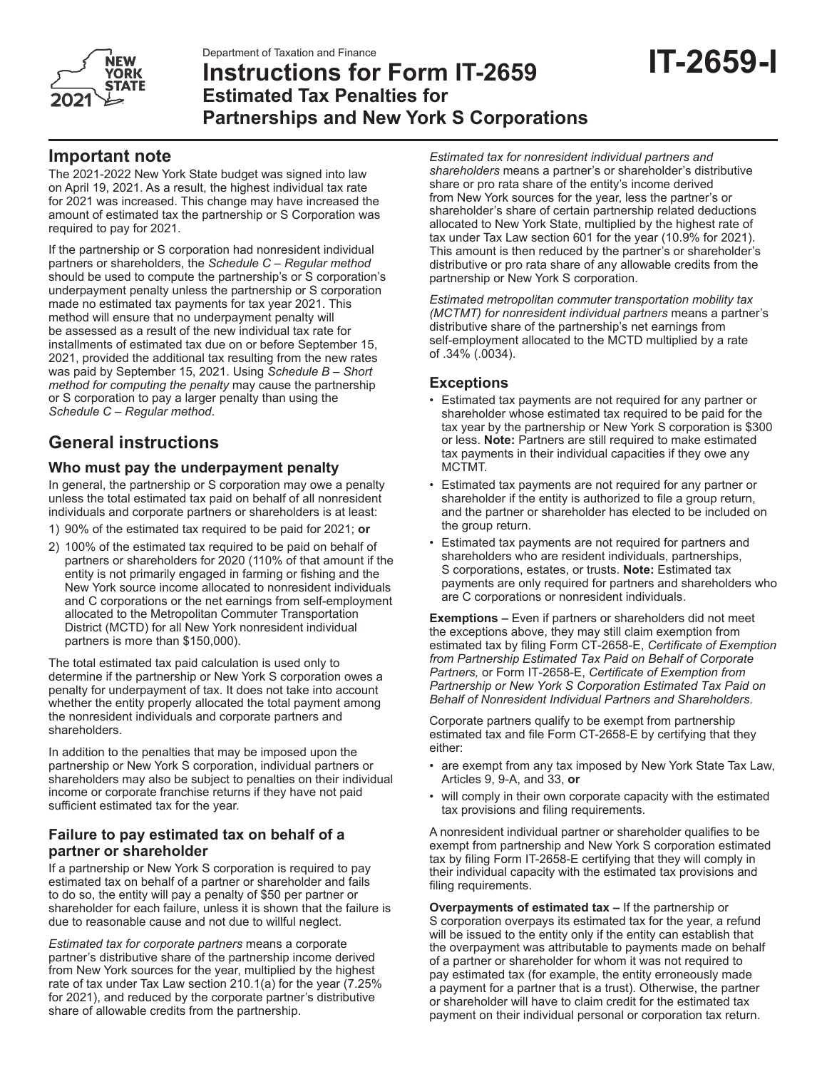

# **Instructions for Form IT-2659 Estimated Tax Penalties for Partnerships and New York S Corporations**

# **Important note**

The 2021-2022 New York State budget was signed into law on April 19, 2021. As a result, the highest individual tax rate for 2021 was increased. This change may have increased the amount of estimated tax the partnership or S Corporation was required to pay for 2021.

If the partnership or S corporation had nonresident individual partners or shareholders, the *Schedule C – Regular method* should be used to compute the partnership's or S corporation's underpayment penalty unless the partnership or S corporation made no estimated tax payments for tax year 2021. This method will ensure that no underpayment penalty will be assessed as a result of the new individual tax rate for installments of estimated tax due on or before September 15, 2021, provided the additional tax resulting from the new rates was paid by September 15, 2021. Using *Schedule B – Short method for computing the penalty* may cause the partnership or S corporation to pay a larger penalty than using the *Schedule C – Regular method*.

# **General instructions**

# **Who must pay the underpayment penalty**

In general, the partnership or S corporation may owe a penalty unless the total estimated tax paid on behalf of all nonresident individuals and corporate partners or shareholders is at least:

- 1) 90% of the estimated tax required to be paid for 2021; **or**
- 2) 100% of the estimated tax required to be paid on behalf of partners or shareholders for 2020 (110% of that amount if the entity is not primarily engaged in farming or fishing and the New York source income allocated to nonresident individuals and C corporations or the net earnings from self-employment allocated to the Metropolitan Commuter Transportation District (MCTD) for all New York nonresident individual partners is more than \$150,000).

The total estimated tax paid calculation is used only to determine if the partnership or New York S corporation owes a penalty for underpayment of tax. It does not take into account whether the entity properly allocated the total payment among the nonresident individuals and corporate partners and shareholders.

In addition to the penalties that may be imposed upon the partnership or New York S corporation, individual partners or shareholders may also be subject to penalties on their individual income or corporate franchise returns if they have not paid sufficient estimated tax for the year.

# **Failure to pay estimated tax on behalf of a partner or shareholder**

If a partnership or New York S corporation is required to pay estimated tax on behalf of a partner or shareholder and fails to do so, the entity will pay a penalty of \$50 per partner or shareholder for each failure, unless it is shown that the failure is due to reasonable cause and not due to willful neglect.

*Estimated tax for corporate partners* means a corporate partner's distributive share of the partnership income derived from New York sources for the year, multiplied by the highest rate of tax under Tax Law section 210.1(a) for the year (7.25% for 2021), and reduced by the corporate partner's distributive share of allowable credits from the partnership.

*Estimated tax for nonresident individual partners and shareholders* means a partner's or shareholder's distributive share or pro rata share of the entity's income derived from New York sources for the year, less the partner's or shareholder's share of certain partnership related deductions allocated to New York State, multiplied by the highest rate of tax under Tax Law section 601 for the year (10.9% for 2021). This amount is then reduced by the partner's or shareholder's distributive or pro rata share of any allowable credits from the partnership or New York S corporation.

*Estimated metropolitan commuter transportation mobility tax (MCTMT) for nonresident individual partners* means a partner's distributive share of the partnership's net earnings from self-employment allocated to the MCTD multiplied by a rate of .34% (.0034).

# **Exceptions**

- Estimated tax payments are not required for any partner or shareholder whose estimated tax required to be paid for the tax year by the partnership or New York S corporation is \$300 or less. **Note:** Partners are still required to make estimated tax payments in their individual capacities if they owe any MCTMT.
- Estimated tax payments are not required for any partner or shareholder if the entity is authorized to file a group return, and the partner or shareholder has elected to be included on the group return.
- Estimated tax payments are not required for partners and shareholders who are resident individuals, partnerships, S corporations, estates, or trusts. **Note:** Estimated tax payments are only required for partners and shareholders who are C corporations or nonresident individuals.

**Exemptions –** Even if partners or shareholders did not meet the exceptions above, they may still claim exemption from estimated tax by filing Form CT-2658-E, *Certificate of Exemption from Partnership Estimated Tax Paid on Behalf of Corporate Partners,* or Form IT-2658-E, *Certificate of Exemption from Partnership or New York S Corporation Estimated Tax Paid on Behalf of Nonresident Individual Partners and Shareholders*.

Corporate partners qualify to be exempt from partnership estimated tax and file Form CT-2658-E by certifying that they either:

- are exempt from any tax imposed by New York State Tax Law, Articles 9, 9-A, and 33, **or**
- will comply in their own corporate capacity with the estimated tax provisions and filing requirements.

A nonresident individual partner or shareholder qualifies to be exempt from partnership and New York S corporation estimated tax by filing Form IT-2658-E certifying that they will comply in their individual capacity with the estimated tax provisions and filing requirements.

**Overpayments of estimated tax –** If the partnership or S corporation overpays its estimated tax for the year, a refund will be issued to the entity only if the entity can establish that the overpayment was attributable to payments made on behalf of a partner or shareholder for whom it was not required to pay estimated tax (for example, the entity erroneously made a payment for a partner that is a trust). Otherwise, the partner or shareholder will have to claim credit for the estimated tax payment on their individual personal or corporation tax return.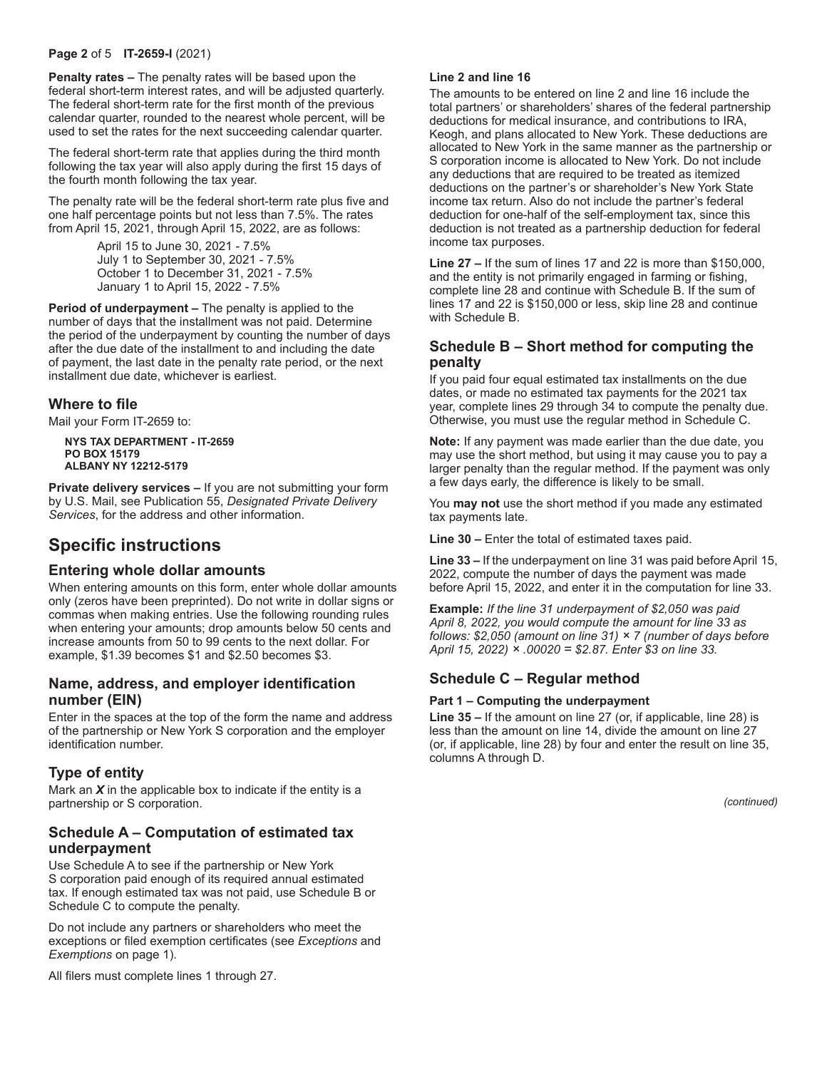#### **Page 2** of 5 **IT-2659-I** (2021)

**Penalty rates –** The penalty rates will be based upon the federal short-term interest rates, and will be adjusted quarterly. The federal short-term rate for the first month of the previous calendar quarter, rounded to the nearest whole percent, will be used to set the rates for the next succeeding calendar quarter.

The federal short-term rate that applies during the third month following the tax year will also apply during the first 15 days of the fourth month following the tax year.

The penalty rate will be the federal short-term rate plus five and one half percentage points but not less than 7.5%. The rates from April 15, 2021, through April 15, 2022, are as follows:

> April 15 to June 30, 2021 - 7.5% July 1 to September 30, 2021 - 7.5% October 1 to December 31, 2021 - 7.5% January 1 to April 15, 2022 - 7.5%

**Period of underpayment –** The penalty is applied to the number of days that the installment was not paid. Determine the period of the underpayment by counting the number of days after the due date of the installment to and including the date of payment, the last date in the penalty rate period, or the next installment due date, whichever is earliest.

### **Where to file**

Mail your Form IT-2659 to:

**NYS TAX DEPARTMENT - IT-2659 PO BOX 15179 ALBANY NY 12212-5179**

**Private delivery services –** If you are not submitting your form by U.S. Mail, see Publication 55, *Designated Private Delivery Services*, for the address and other information.

# **Specific instructions**

### **Entering whole dollar amounts**

When entering amounts on this form, enter whole dollar amounts only (zeros have been preprinted). Do not write in dollar signs or commas when making entries. Use the following rounding rules when entering your amounts; drop amounts below 50 cents and increase amounts from 50 to 99 cents to the next dollar. For example, \$1.39 becomes \$1 and \$2.50 becomes \$3.

### **Name, address, and employer identification number (EIN)**

Enter in the spaces at the top of the form the name and address of the partnership or New York S corporation and the employer identification number.

# **Type of entity**

Mark an *X* in the applicable box to indicate if the entity is a partnership or S corporation.

# **Schedule A – Computation of estimated tax underpayment**

Use Schedule A to see if the partnership or New York S corporation paid enough of its required annual estimated tax. If enough estimated tax was not paid, use Schedule B or Schedule C to compute the penalty.

Do not include any partners or shareholders who meet the exceptions or filed exemption certificates (see *Exceptions* and *Exemptions* on page 1).

All filers must complete lines 1 through 27.

#### **Line 2 and line 16**

The amounts to be entered on line 2 and line 16 include the total partners' or shareholders' shares of the federal partnership deductions for medical insurance, and contributions to IRA, Keogh, and plans allocated to New York. These deductions are allocated to New York in the same manner as the partnership or S corporation income is allocated to New York. Do not include any deductions that are required to be treated as itemized deductions on the partner's or shareholder's New York State income tax return. Also do not include the partner's federal deduction for one-half of the self-employment tax, since this deduction is not treated as a partnership deduction for federal income tax purposes.

**Line 27 –** If the sum of lines 17 and 22 is more than \$150,000, and the entity is not primarily engaged in farming or fishing, complete line 28 and continue with Schedule B. If the sum of lines 17 and 22 is \$150,000 or less, skip line 28 and continue with Schedule B.

# **Schedule B – Short method for computing the penalty**

If you paid four equal estimated tax installments on the due dates, or made no estimated tax payments for the 2021 tax year, complete lines 29 through 34 to compute the penalty due. Otherwise, you must use the regular method in Schedule C.

**Note:** If any payment was made earlier than the due date, you may use the short method, but using it may cause you to pay a larger penalty than the regular method. If the payment was only a few days early, the difference is likely to be small.

You **may not** use the short method if you made any estimated tax payments late.

**Line 30 –** Enter the total of estimated taxes paid.

**Line 33 –** If the underpayment on line 31 was paid before April 15, 2022, compute the number of days the payment was made before April 15, 2022, and enter it in the computation for line 33.

**Example:** *If the line 31 underpayment of \$2,050 was paid April 8, 2022, you would compute the amount for line 33 as follows: \$2,050 (amount on line 31) × 7 (number of days before April 15, 2022) × .00020 = \$2.87. Enter \$3 on line 33.*

# **Schedule C – Regular method**

#### **Part 1 – Computing the underpayment**

**Line 35 –** If the amount on line 27 (or, if applicable, line 28) is less than the amount on line 14, divide the amount on line 27 (or, if applicable, line 28) by four and enter the result on line 35, columns A through D.

*(continued)*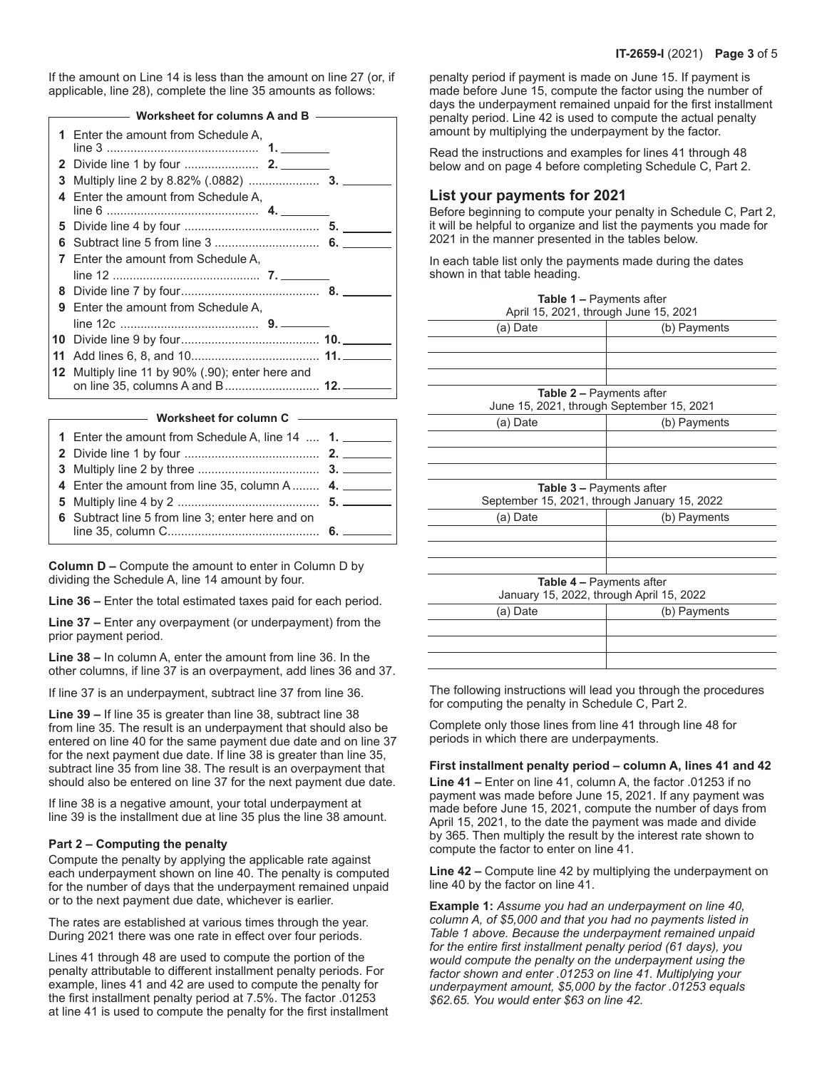If the amount on Line 14 is less than the amount on line 27 (or, if applicable, line 28), complete the line 35 amounts as follows:

| ———— Worksheet for columns A and B ——— |                                                                                     |  |  |
|----------------------------------------|-------------------------------------------------------------------------------------|--|--|
|                                        | 1 Enter the amount from Schedule A,                                                 |  |  |
|                                        |                                                                                     |  |  |
| 3                                      |                                                                                     |  |  |
|                                        | 4 Enter the amount from Schedule A.                                                 |  |  |
|                                        |                                                                                     |  |  |
| 6                                      |                                                                                     |  |  |
|                                        | 7 Enter the amount from Schedule A,                                                 |  |  |
|                                        |                                                                                     |  |  |
|                                        |                                                                                     |  |  |
| 9                                      | Enter the amount from Schedule A,                                                   |  |  |
|                                        |                                                                                     |  |  |
|                                        |                                                                                     |  |  |
| 11                                     |                                                                                     |  |  |
|                                        | 12 Multiply line 11 by 90% (.90); enter here and<br>on line 35, columns A and B 12. |  |  |

**Worksheet for column C**

| 1 Enter the amount from Schedule A, line 14  1.  |  |
|--------------------------------------------------|--|
|                                                  |  |
|                                                  |  |
| 4 Enter the amount from line 35, column A 4.     |  |
|                                                  |  |
| 6 Subtract line 5 from line 3; enter here and on |  |
|                                                  |  |

**Column D –** Compute the amount to enter in Column D by dividing the Schedule A, line 14 amount by four.

**Line 36 –** Enter the total estimated taxes paid for each period.

**Line 37 –** Enter any overpayment (or underpayment) from the prior payment period.

**Line 38 –** In column A, enter the amount from line 36. In the other columns, if line 37 is an overpayment, add lines 36 and 37.

If line 37 is an underpayment, subtract line 37 from line 36.

**Line 39 –** If line 35 is greater than line 38, subtract line 38 from line 35. The result is an underpayment that should also be entered on line 40 for the same payment due date and on line 37 for the next payment due date. If line 38 is greater than line 35, subtract line 35 from line 38. The result is an overpayment that should also be entered on line 37 for the next payment due date.

If line 38 is a negative amount, your total underpayment at line 39 is the installment due at line 35 plus the line 38 amount.

#### **Part 2 – Computing the penalty**

Compute the penalty by applying the applicable rate against each underpayment shown on line 40. The penalty is computed for the number of days that the underpayment remained unpaid or to the next payment due date, whichever is earlier.

The rates are established at various times through the year. During 2021 there was one rate in effect over four periods.

Lines 41 through 48 are used to compute the portion of the penalty attributable to different installment penalty periods. For example, lines 41 and 42 are used to compute the penalty for the first installment penalty period at 7.5%. The factor .01253 at line 41 is used to compute the penalty for the first installment

penalty period if payment is made on June 15. If payment is made before June 15, compute the factor using the number of days the underpayment remained unpaid for the first installment penalty period. Line 42 is used to compute the actual penalty amount by multiplying the underpayment by the factor.

Read the instructions and examples for lines 41 through 48 below and on page 4 before completing Schedule C, Part 2.

### **List your payments for 2021**

Before beginning to compute your penalty in Schedule C, Part 2, it will be helpful to organize and list the payments you made for 2021 in the manner presented in the tables below.

In each table list only the payments made during the dates shown in that table heading.

| Table 1 - Payments after                  |                                              |  |  |
|-------------------------------------------|----------------------------------------------|--|--|
| April 15, 2021, through June 15, 2021     |                                              |  |  |
| (a) Date                                  | (b) Payments                                 |  |  |
|                                           |                                              |  |  |
|                                           |                                              |  |  |
|                                           |                                              |  |  |
| <b>Table 2 - Payments after</b>           |                                              |  |  |
| June 15, 2021, through September 15, 2021 |                                              |  |  |
| (a) Date                                  | (b) Payments                                 |  |  |
|                                           |                                              |  |  |
|                                           |                                              |  |  |
|                                           |                                              |  |  |
| Table 3 - Payments after                  |                                              |  |  |
|                                           | September 15, 2021, through January 15, 2022 |  |  |
| (a) Date                                  | (b) Payments                                 |  |  |
|                                           |                                              |  |  |
|                                           |                                              |  |  |
|                                           |                                              |  |  |
| <b>Table 4 - Payments after</b>           |                                              |  |  |
|                                           | January 15, 2022, through April 15, 2022     |  |  |
| (a) Date                                  | (b) Payments                                 |  |  |
|                                           |                                              |  |  |
|                                           |                                              |  |  |
|                                           |                                              |  |  |

The following instructions will lead you through the procedures for computing the penalty in Schedule C, Part 2.

Complete only those lines from line 41 through line 48 for periods in which there are underpayments.

### **First installment penalty period – column A, lines 41 and 42**

**Line 41 –** Enter on line 41, column A, the factor .01253 if no payment was made before June 15, 2021. If any payment was made before June 15, 2021, compute the number of days from April 15, 2021, to the date the payment was made and divide by 365. Then multiply the result by the interest rate shown to compute the factor to enter on line 41.

**Line 42 –** Compute line 42 by multiplying the underpayment on line 40 by the factor on line 41.

**Example 1:** *Assume you had an underpayment on line 40, column A, of \$5,000 and that you had no payments listed in Table 1 above. Because the underpayment remained unpaid for the entire first installment penalty period (61 days), you would compute the penalty on the underpayment using the factor shown and enter .01253 on line 41. Multiplying your underpayment amount, \$5,000 by the factor .01253 equals \$62.65. You would enter \$63 on line 42.*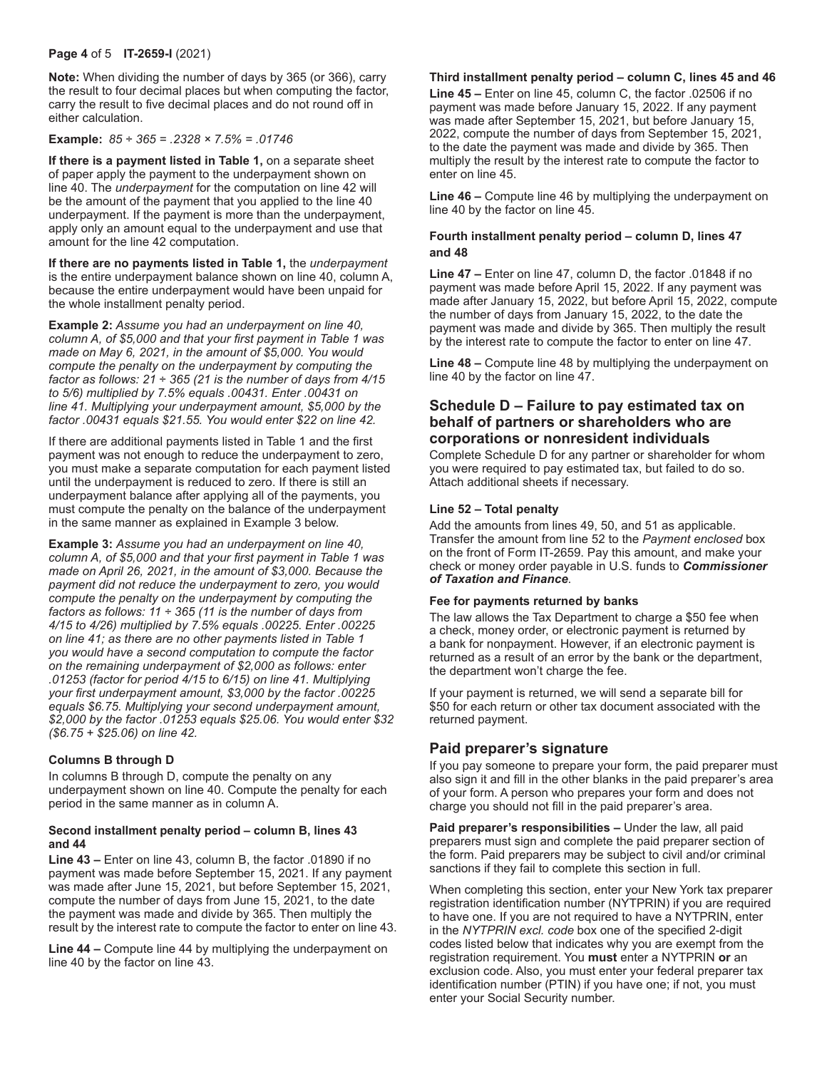#### **Page 4** of 5 **IT-2659-I** (2021)

**Note:** When dividing the number of days by 365 (or 366), carry the result to four decimal places but when computing the factor, carry the result to five decimal places and do not round off in either calculation.

#### **Example:** *85 ÷ 365 = .2328 × 7.5% = .01746*

**If there is a payment listed in Table 1,** on a separate sheet of paper apply the payment to the underpayment shown on line 40. The *underpayment* for the computation on line 42 will be the amount of the payment that you applied to the line 40 underpayment. If the payment is more than the underpayment, apply only an amount equal to the underpayment and use that amount for the line 42 computation.

**If there are no payments listed in Table 1,** the *underpayment* is the entire underpayment balance shown on line 40, column A, because the entire underpayment would have been unpaid for the whole installment penalty period.

**Example 2:** *Assume you had an underpayment on line 40, column A, of \$5,000 and that your first payment in Table 1 was made on May 6, 2021, in the amount of \$5,000. You would compute the penalty on the underpayment by computing the factor as follows: 21* ÷ *365 (21 is the number of days from 4/15 to 5/6) multiplied by 7.5% equals .00431. Enter .00431 on line 41. Multiplying your underpayment amount, \$5,000 by the factor .00431 equals \$21.55. You would enter \$22 on line 42.*

If there are additional payments listed in Table 1 and the first payment was not enough to reduce the underpayment to zero, you must make a separate computation for each payment listed until the underpayment is reduced to zero. If there is still an underpayment balance after applying all of the payments, you must compute the penalty on the balance of the underpayment in the same manner as explained in Example 3 below.

**Example 3:** *Assume you had an underpayment on line 40, column A, of \$5,000 and that your first payment in Table 1 was made on April 26, 2021, in the amount of \$3,000. Because the payment did not reduce the underpayment to zero, you would compute the penalty on the underpayment by computing the factors as follows: 11 ÷ 365 (11 is the number of days from 4/15 to 4/26) multiplied by 7.5% equals .00225. Enter .00225 on line 41; as there are no other payments listed in Table 1 you would have a second computation to compute the factor on the remaining underpayment of \$2,000 as follows: enter .01253 (factor for period 4/15 to 6/15) on line 41. Multiplying your first underpayment amount, \$3,000 by the factor .00225 equals \$6.75. Multiplying your second underpayment amount, \$2,000 by the factor .01253 equals \$25.06. You would enter \$32 (\$6.75 + \$25.06) on line 42.*

### **Columns B through D**

In columns B through D, compute the penalty on any underpayment shown on line 40. Compute the penalty for each period in the same manner as in column A.

### **Second installment penalty period – column B, lines 43 and 44**

**Line 43 –** Enter on line 43, column B, the factor .01890 if no payment was made before September 15, 2021. If any payment was made after June 15, 2021, but before September 15, 2021, compute the number of days from June 15, 2021, to the date the payment was made and divide by 365. Then multiply the result by the interest rate to compute the factor to enter on line 43.

**Line 44 –** Compute line 44 by multiplying the underpayment on line 40 by the factor on line 43.

### **Third installment penalty period – column C, lines 45 and 46**

**Line 45 –** Enter on line 45, column C, the factor .02506 if no payment was made before January 15, 2022. If any payment was made after September 15, 2021, but before January 15, 2022, compute the number of days from September 15, 2021, to the date the payment was made and divide by 365. Then multiply the result by the interest rate to compute the factor to enter on line 45.

**Line 46 –** Compute line 46 by multiplying the underpayment on line 40 by the factor on line 45.

### **Fourth installment penalty period – column D, lines 47 and 48**

**Line 47 –** Enter on line 47, column D, the factor .01848 if no payment was made before April 15, 2022. If any payment was made after January 15, 2022, but before April 15, 2022, compute the number of days from January 15, 2022, to the date the payment was made and divide by 365. Then multiply the result by the interest rate to compute the factor to enter on line 47.

**Line 48 –** Compute line 48 by multiplying the underpayment on line 40 by the factor on line 47.

### **Schedule D – Failure to pay estimated tax on behalf of partners or shareholders who are corporations or nonresident individuals**

Complete Schedule D for any partner or shareholder for whom you were required to pay estimated tax, but failed to do so. Attach additional sheets if necessary.

### **Line 52 – Total penalty**

Add the amounts from lines 49, 50, and 51 as applicable. Transfer the amount from line 52 to the *Payment enclosed* box on the front of Form IT-2659. Pay this amount, and make your check or money order payable in U.S. funds to *Commissioner of Taxation and Finance*.

### **Fee for payments returned by banks**

The law allows the Tax Department to charge a \$50 fee when a check, money order, or electronic payment is returned by a bank for nonpayment. However, if an electronic payment is returned as a result of an error by the bank or the department, the department won't charge the fee.

If your payment is returned, we will send a separate bill for \$50 for each return or other tax document associated with the returned payment.

# **Paid preparer's signature**

If you pay someone to prepare your form, the paid preparer must also sign it and fill in the other blanks in the paid preparer's area of your form. A person who prepares your form and does not charge you should not fill in the paid preparer's area.

**Paid preparer's responsibilities –** Under the law, all paid preparers must sign and complete the paid preparer section of the form. Paid preparers may be subject to civil and/or criminal sanctions if they fail to complete this section in full.

When completing this section, enter your New York tax preparer registration identification number (NYTPRIN) if you are required to have one. If you are not required to have a NYTPRIN, enter in the *NYTPRIN excl. code* box one of the specified 2-digit codes listed below that indicates why you are exempt from the registration requirement. You **must** enter a NYTPRIN **or** an exclusion code. Also, you must enter your federal preparer tax identification number (PTIN) if you have one; if not, you must enter your Social Security number.